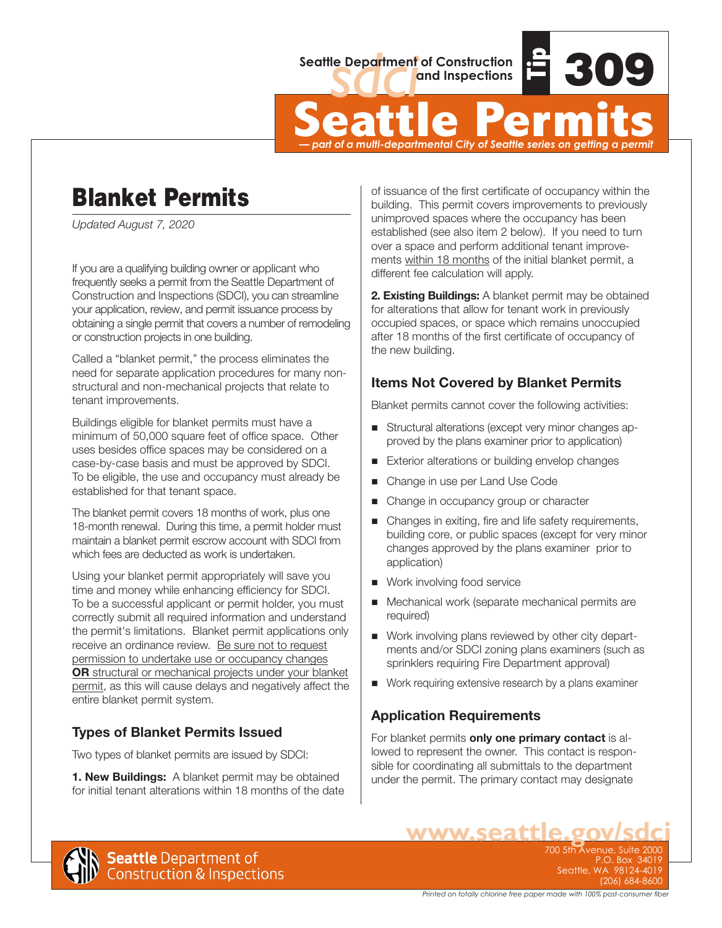

Seattle Department of Construction<br>
and Inspections<br>
Seattle Permits<br>
— part of a multi-departmental City of Seattle series on getting a permit *— part of a multi-departmental City of Seattle series on getting a permit*

# Blanket Permits

*Updated August 7, 2020*

If you are a qualifying building owner or applicant who frequently seeks a permit from the Seattle Department of Construction and Inspections (SDCI), you can streamline your application, review, and permit issuance process by obtaining a single permit that covers a number of remodeling or construction projects in one building.

Called a "blanket permit," the process eliminates the need for separate application procedures for many nonstructural and non-mechanical projects that relate to tenant improvements.

Buildings eligible for blanket permits must have a minimum of 50,000 square feet of office space. Other uses besides office spaces may be considered on a case-by-case basis and must be approved by SDCI. To be eligible, the use and occupancy must already be established for that tenant space.

The blanket permit covers 18 months of work, plus one 18-month renewal. During this time, a permit holder must maintain a blanket permit escrow account with SDCI from which fees are deducted as work is undertaken.

Using your blanket permit appropriately will save you time and money while enhancing efficiency for SDCI. To be a successful applicant or permit holder, you must correctly submit all required information and understand the permit's limitations. Blanket permit applications only receive an ordinance review. Be sure not to request permission to undertake use or occupancy changes **OR** structural or mechanical projects under your blanket permit, as this will cause delays and negatively affect the entire blanket permit system.

### **Types of Blanket Permits Issued**

Two types of blanket permits are issued by SDCI:

**1. New Buildings:** A blanket permit may be obtained for initial tenant alterations within 18 months of the date

of issuance of the first certificate of occupancy within the building. This permit covers improvements to previously unimproved spaces where the occupancy has been established (see also item 2 below). If you need to turn over a space and perform additional tenant improvements within 18 months of the initial blanket permit, a different fee calculation will apply.

**2. Existing Buildings:** A blanket permit may be obtained for alterations that allow for tenant work in previously occupied spaces, or space which remains unoccupied after 18 months of the first certificate of occupancy of the new building.

#### **Items Not Covered by Blanket Permits**

Blanket permits cannot cover the following activities:

- Structural alterations (except very minor changes approved by the plans examiner prior to application)
- Exterior alterations or building envelop changes
- Change in use per Land Use Code
- Change in occupancy group or character
- Changes in exiting, fire and life safety requirements, building core, or public spaces (except for very minor changes approved by the plans examiner prior to application)
- Work involving food service
- Mechanical work (separate mechanical permits are required)
- Work involving plans reviewed by other city departments and/or SDCI zoning plans examiners (such as sprinklers requiring Fire Department approval)
- Work requiring extensive research by a plans examiner

#### **Application Requirements**

For blanket permits **only one primary contact** is allowed to represent the owner. This contact is responsible for coordinating all submittals to the department under the permit. The primary contact may designate



**WWW.Seattle.gov/Sdc** P.O. Box 34019 Seattle, WA 98124-4019 (206) 684-8600